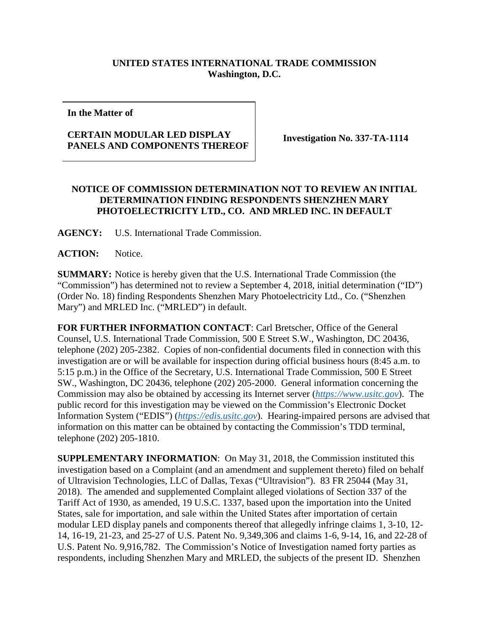## **UNITED STATES INTERNATIONAL TRADE COMMISSION Washington, D.C.**

**In the Matter of**

## **CERTAIN MODULAR LED DISPLAY PANELS AND COMPONENTS THEREOF Investigation No. 337-TA-1114**

## **NOTICE OF COMMISSION DETERMINATION NOT TO REVIEW AN INITIAL DETERMINATION FINDING RESPONDENTS SHENZHEN MARY PHOTOELECTRICITY LTD., CO. AND MRLED INC. IN DEFAULT**

**AGENCY:** U.S. International Trade Commission.

**ACTION:** Notice.

**SUMMARY:** Notice is hereby given that the U.S. International Trade Commission (the "Commission") has determined not to review a September 4, 2018, initial determination ("ID") (Order No. 18) finding Respondents Shenzhen Mary Photoelectricity Ltd., Co. ("Shenzhen Mary") and MRLED Inc. ("MRLED") in default.

**FOR FURTHER INFORMATION CONTACT**: Carl Bretscher, Office of the General Counsel, U.S. International Trade Commission, 500 E Street S.W., Washington, DC 20436, telephone (202) 205-2382. Copies of non-confidential documents filed in connection with this investigation are or will be available for inspection during official business hours (8:45 a.m. to 5:15 p.m.) in the Office of the Secretary, U.S. International Trade Commission, 500 E Street SW., Washington, DC 20436, telephone (202) 205-2000. General information concerning the Commission may also be obtained by accessing its Internet server (*[https://www.usitc.gov](https://www.usitc.gov/)*). The public record for this investigation may be viewed on the Commission's Electronic Docket Information System ("EDIS") (*[https://edis.usitc.gov](https://edis.usitc.gov/)*). Hearing-impaired persons are advised that information on this matter can be obtained by contacting the Commission's TDD terminal, telephone (202) 205-1810.

**SUPPLEMENTARY INFORMATION**: On May 31, 2018, the Commission instituted this investigation based on a Complaint (and an amendment and supplement thereto) filed on behalf of Ultravision Technologies, LLC of Dallas, Texas ("Ultravision"). 83 FR 25044 (May 31, 2018). The amended and supplemented Complaint alleged violations of Section 337 of the Tariff Act of 1930, as amended, 19 U.S.C. 1337, based upon the importation into the United States, sale for importation, and sale within the United States after importation of certain modular LED display panels and components thereof that allegedly infringe claims 1, 3-10, 12- 14, 16-19, 21-23, and 25-27 of U.S. Patent No. 9,349,306 and claims 1-6, 9-14, 16, and 22-28 of U.S. Patent No. 9,916,782. The Commission's Notice of Investigation named forty parties as respondents, including Shenzhen Mary and MRLED, the subjects of the present ID. Shenzhen